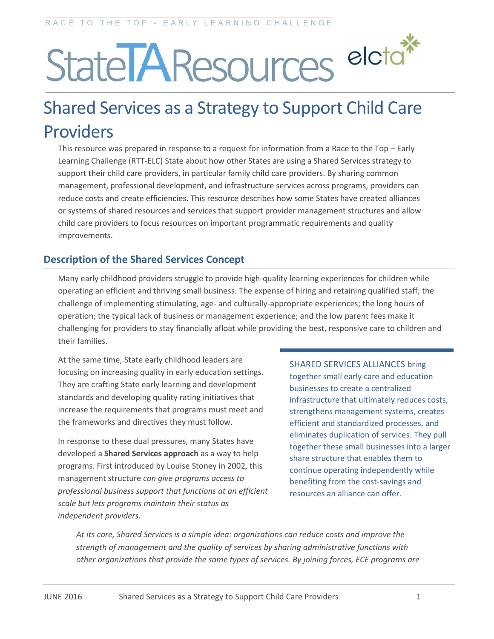# StatelAResources eleta\*

# Shared Services as a Strategy to Support Child Care Providers

This resource was prepared in response to a request for information from a Race to the Top – Early Learning Challenge (RTT-ELC) State about how other States are using a Shared Services strategy to support their child care providers, in particular family child care providers. By sharing common management, professional development, and infrastructure services across programs, providers can reduce costs and create efficiencies. This resource describes how some States have created alliances or systems of shared resources and services that support provider management structures and allow child care providers to focus resources on important programmatic requirements and quality improvements.

# **Description of the Shared Services Concept**

Many early childhood providers struggle to provide high-quality learning experiences for children while operating an efficient and thriving small business. The expense of hiring and retaining qualified staff; the challenge of implementing stimulating, age- and culturally-appropriate experiences; the long hours of operation; the typical lack of business or management experience; and the low parent fees make it challenging for providers to stay financially afloat while providing the best, responsive care to children and their families.

At the same time, State early childhood leaders are focusing on increasing quality in early education settings. They are crafting State early learning and development standards and developing quality rating initiatives that increase the requirements that programs must meet and the frameworks and directives they must follow.

In response to these dual pressures, many States have developed a **Shared Services approach** as a way to help programs. First introduced by Louise Stoney in 2002, this management structure *can give programs access to professional business support that functions at an efficient scale but lets programs maintain their status as independent providers.*[i](#page-13-0)

SHARED SERVICES ALLIANCES bring together small early care and education businesses to create a centralized infrastructure that ultimately reduces costs, strengthens management systems, creates efficient and standardized processes, and eliminates duplication of services. They pull together these small businesses into a larger share structure that enables them to continue operating independently while benefiting from the cost-savings and resources an alliance can offer.

*At its core, Shared Services is a simple idea: organizations can reduce costs and improve the strength of management and the quality of services by sharing administrative functions with other organizations that provide the same types of services. By joining forces, ECE programs are*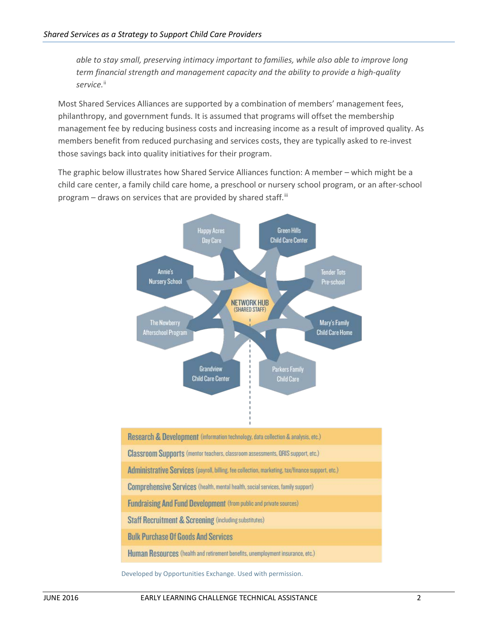*able to stay small, preserving intimacy important to families, while also able to improve long term financial strength and management capacity and the ability to provide a high-quality*  service.<sup>[ii](#page-13-1)</sup>

Most Shared Services Alliances are supported by a combination of members' management fees, philanthropy, and government funds. It is assumed that programs will offset the membership management fee by reducing business costs and increasing income as a result of improved quality. As members benefit from reduced purchasing and services costs, they are typically asked to re-invest those savings back into quality initiatives for their program.

The graphic below illustrates how Shared Service Alliances function: A member – which might be a child care center, a family child care home, a preschool or nursery school program, or an after-school program  $-$  draws on services that are provided by shared staff.<sup>iii</sup>



Research & Development (information technology, data collection & analysis, etc.) **Classroom Supports** (mentor teachers, classroom assessments, QRIS support, etc.) Administrative Services (payroll, billing, fee collection, marketing, tax/finance support, etc.) **Comprehensive Services** (health, mental health, social services, family support) **Fundraising And Fund Development (from public and private sources) Staff Recruitment & Screening (including substitutes) Bulk Purchase Of Goods And Services** Human Resources (health and retirement benefits, unemployment insurance, etc.)

Developed by Opportunities Exchange. Used with permission.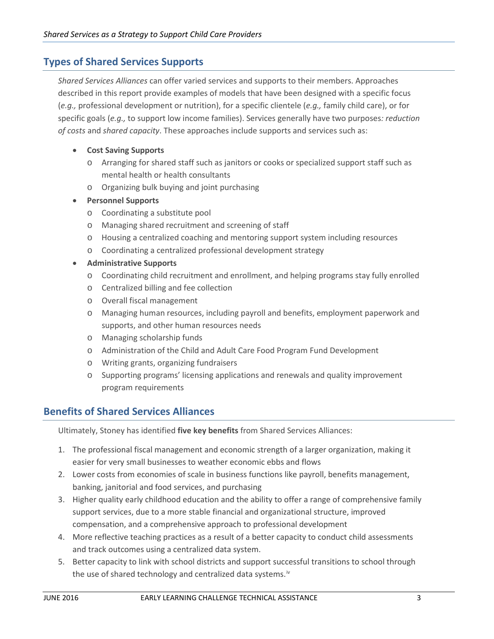# **Types of Shared Services Supports**

*Shared Services Alliances* can offer varied services and supports to their members. Approaches described in this report provide examples of models that have been designed with a specific focus (*e.g.,* professional development or nutrition), for a specific clientele (*e.g.,* family child care), or for specific goals (*e.g.,* to support low income families). Services generally have two purposes*: reduction of costs* and *shared capacity*. These approaches include supports and services such as:

#### • **Cost Saving Supports**

- o Arranging for shared staff such as janitors or cooks or specialized support staff such as mental health or health consultants
- o Organizing bulk buying and joint purchasing

#### • **Personnel Supports**

- o Coordinating a substitute pool
- o Managing shared recruitment and screening of staff
- o Housing a centralized coaching and mentoring support system including resources
- o Coordinating a centralized professional development strategy
- **Administrative Supports**
	- o Coordinating child recruitment and enrollment, and helping programs stay fully enrolled
	- o Centralized billing and fee collection
	- o Overall fiscal management
	- o Managing human resources, including payroll and benefits, employment paperwork and supports, and other human resources needs
	- o Managing scholarship funds
	- o Administration of the Child and Adult Care Food Program Fund Development
	- o Writing grants, organizing fundraisers
	- o Supporting programs' licensing applications and renewals and quality improvement program requirements

# **Benefits of Shared Services Alliances**

Ultimately, Stoney has identified **five key benefits** from Shared Services Alliances:

- 1. The professional fiscal management and economic strength of a larger organization, making it easier for very small businesses to weather economic ebbs and flows
- 2. Lower costs from economies of scale in business functions like payroll, benefits management, banking, janitorial and food services, and purchasing
- 3. Higher quality early childhood education and the ability to offer a range of comprehensive family support services, due to a more stable financial and organizational structure, improved compensation, and a comprehensive approach to professional development
- 4. More reflective teaching practices as a result of a better capacity to conduct child assessments and track outcomes using a centralized data system.
- 5. Better capacity to link with school districts and support successful transitions to school through the use of shared technology and centralized data systems.<sup>[iv](#page-13-3)</sup>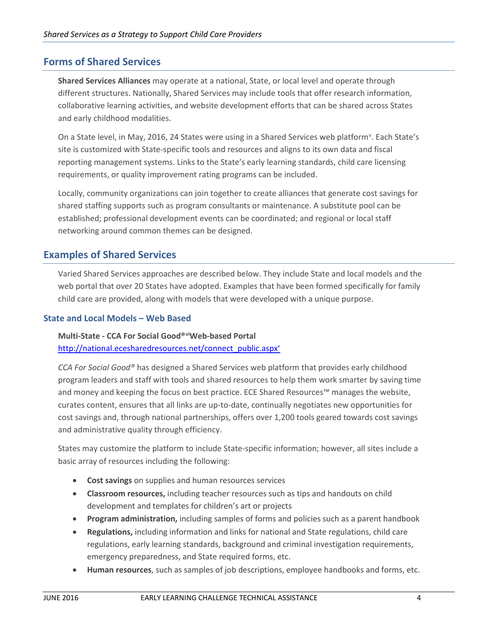# **Forms of Shared Services**

**Shared Services Alliances** may operate at a national, State, or local level and operate through different structures. Nationally, Shared Services may include tools that offer research information, collaborative learning activities, and website development efforts that can be shared across States and early childhood modalities.

On a State le[v](#page-13-4)el, in May, 2016, 24 States were using in a Shared Services web platform<sup>v</sup>. Each State's site is customized with State-specific tools and resources and aligns to its own data and fiscal reporting management systems. Links to the State's early learning standards, child care licensing requirements, or quality improvement rating programs can be included.

Locally, community organizations can join together to create alliances that generate cost savings for shared staffing supports such as program consultants or maintenance. A substitute pool can be established; professional development events can be coordinated; and regional or local staff networking around common themes can be designed.

# **Examples of Shared Services**

Varied Shared Services approaches are described below. They include State and local models and the web portal that over 20 States have adopted. Examples that have been formed specifically for family child care are provided, along with models that were developed with a unique purpose.

#### **State and Local Models – Web Based**

#### **Multi-State - CCA For Social Good®[vi](#page-13-5)Web-based Portal** [http://national.ecesharedresources.net/connect\\_public.aspx'](http://national.ecesharedresources.net/connect_public.aspx)

*CCA For Social Good®* has designed a Shared Services web platform that provides early childhood program leaders and staff with tools and shared resources to help them work smarter by saving time and money and keeping the focus on best practice. ECE Shared Resources™ manages the website, curates content, ensures that all links are up-to-date, continually negotiates new opportunities for cost savings and, through national partnerships, offers over 1,200 tools geared towards cost savings and administrative quality through efficiency.

States may customize the platform to include State-specific information; however, all sites include a basic array of resources including the following:

- **Cost savings** on supplies and human resources services
- **Classroom resources,** including teacher resources such as tips and handouts on child development and templates for children's art or projects
- **Program administration,** including samples of forms and policies such as a parent handbook
- **Regulations,** including information and links for national and State regulations, child care regulations, early learning standards, background and criminal investigation requirements, emergency preparedness, and State required forms, etc.
- **Human resources**, such as samples of job descriptions, employee handbooks and forms, etc.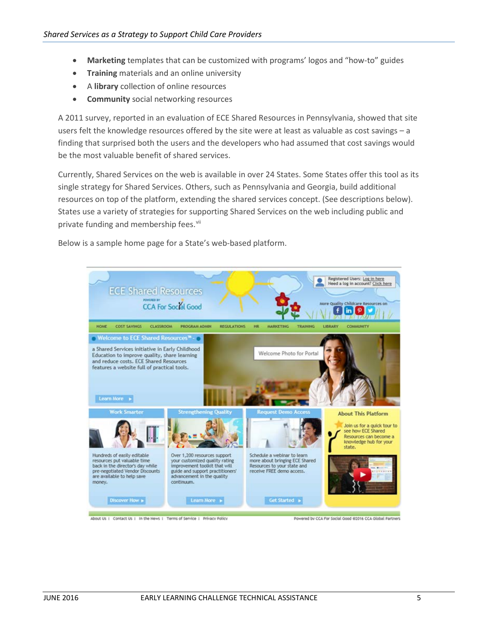- **Marketing** templates that can be customized with programs' logos and "how-to" guides
- **Training** materials and an online university
- A **library** collection of online resources
- **Community** social networking resources

A 2011 survey, reported in an evaluation of ECE Shared Resources in Pennsylvania, showed that site users felt the knowledge resources offered by the site were at least as valuable as cost savings – a finding that surprised both the users and the developers who had assumed that cost savings would be the most valuable benefit of shared services.

Currently, Shared Services on the web is available in over 24 States. Some States offer this tool as its single strategy for Shared Services. Others, such as Pennsylvania and Georgia, build additional resources on top of the platform, extending the shared services concept. (See descriptions below). States use a variety of strategies for supporting Shared Services on the web including public and private funding and membership fees.<sup>[vii](#page-13-6)</sup>

Below is a sample home page for a State's web-based platform.

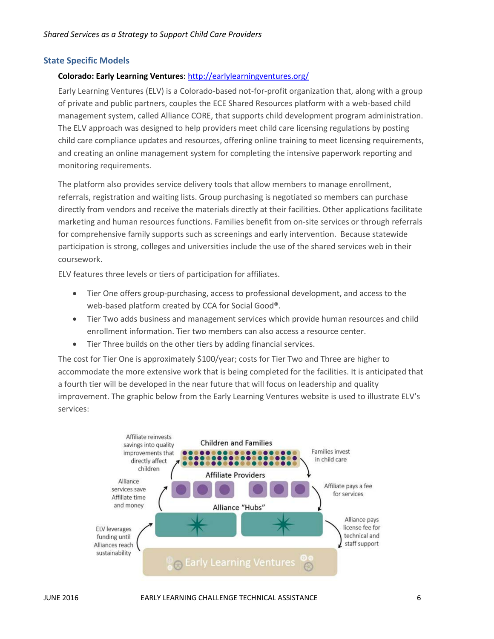#### **State Specific Models**

#### **Colorado: Early Learning Ventures**:<http://earlylearningventures.org/>

Early Learning Ventures (ELV) is a Colorado-based not-for-profit organization that, along with a group of private and public partners, couples the ECE Shared Resources platform with a web-based child management system, called Alliance CORE, that supports child development program administration. The ELV approach was designed to help providers meet child care licensing regulations by posting child care compliance updates and resources, offering online training to meet licensing requirements, and creating an online management system for completing the intensive paperwork reporting and monitoring requirements.

The platform also provides service delivery tools that allow members to manage enrollment, referrals, registration and waiting lists. Group purchasing is negotiated so members can purchase directly from vendors and receive the materials directly at their facilities. Other applications facilitate marketing and human resources functions. Families benefit from on-site services or through referrals for comprehensive family supports such as screenings and early intervention. Because statewide participation is strong, colleges and universities include the use of the shared services web in their coursework.

ELV features three levels or tiers of participation for affiliates.

- Tier One offers group-purchasing, access to professional development, and access to the web-based platform created by CCA for Social Good**®**.
- Tier Two adds business and management services which provide human resources and child enrollment information. Tier two members can also access a resource center.
- Tier Three builds on the other tiers by adding financial services.

The cost for Tier One is approximately \$100/year; costs for Tier Two and Three are higher to accommodate the more extensive work that is being completed for the facilities. It is anticipated that a fourth tier will be developed in the near future that will focus on leadership and quality improvement. The graphic below from the Early Learning Ventures website is used to illustrate ELV's services:

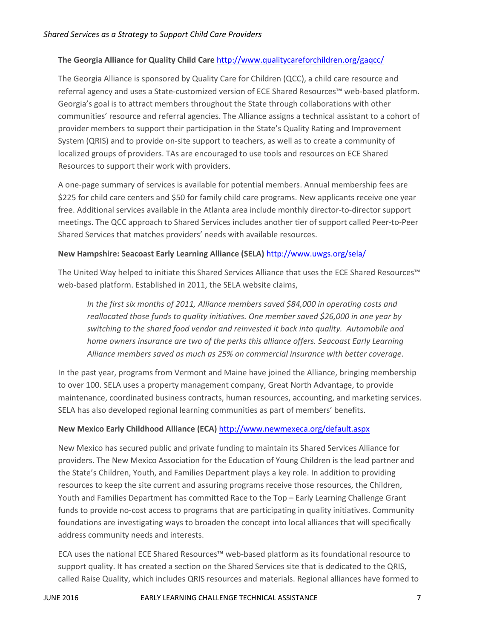#### **The Georgia Alliance for Quality Child Care** <http://www.qualitycareforchildren.org/gaqcc/>

The Georgia Alliance is sponsored by Quality Care for Children (QCC), a child care resource and referral agency and uses a State-customized version of ECE Shared Resources™ web-based platform. Georgia's goal is to attract members throughout the State through collaborations with other communities' resource and referral agencies. The Alliance assigns a technical assistant to a cohort of provider members to support their participation in the State's Quality Rating and Improvement System (QRIS) and to provide on-site support to teachers, as well as to create a community of localized groups of providers. TAs are encouraged to use tools and resources on ECE Shared Resources to support their work with providers.

A one-page summary of services is available for potential members. Annual membership fees are \$225 for child care centers and \$50 for family child care programs. New applicants receive one year free. Additional services available in the Atlanta area include monthly director-to-director support meetings. The QCC approach to Shared Services includes another tier of support called Peer-to-Peer Shared Services that matches providers' needs with available resources.

#### **New Hampshire: Seacoast Early Learning Alliance (SELA)** <http://www.uwgs.org/sela/>

The United Way helped to initiate this Shared Services Alliance that uses the ECE Shared Resources™ web-based platform. Established in 2011, the SELA website claims,

*In the first six months of 2011, Alliance members saved \$84,000 in operating costs and reallocated those funds to quality initiatives. One member saved \$26,000 in one year by switching to the shared food vendor and reinvested it back into quality. Automobile and home owners insurance are two of the perks this alliance offers. Seacoast Early Learning Alliance members saved as much as 25% on commercial insurance with better coverage*.

In the past year, programs from Vermont and Maine have joined the Alliance, bringing membership to over 100. SELA uses a property management company, Great North Advantage, to provide maintenance, coordinated business contracts, human resources, accounting, and marketing services. SELA has also developed regional learning communities as part of members' benefits.

#### **New Mexico Early Childhood Alliance (ECA)** <http://www.newmexeca.org/default.aspx>

New Mexico has secured public and private funding to maintain its Shared Services Alliance for providers. The New Mexico Association for the Education of Young Children is the lead partner and the State's Children, Youth, and Families Department plays a key role. In addition to providing resources to keep the site current and assuring programs receive those resources, the Children, Youth and Families Department has committed Race to the Top – Early Learning Challenge Grant funds to provide no-cost access to programs that are participating in quality initiatives. Community foundations are investigating ways to broaden the concept into local alliances that will specifically address community needs and interests.

ECA uses the national ECE Shared Resources™ web-based platform as its foundational resource to support quality. It has created a section on the Shared Services site that is dedicated to the QRIS, called Raise Quality, which includes QRIS resources and materials. Regional alliances have formed to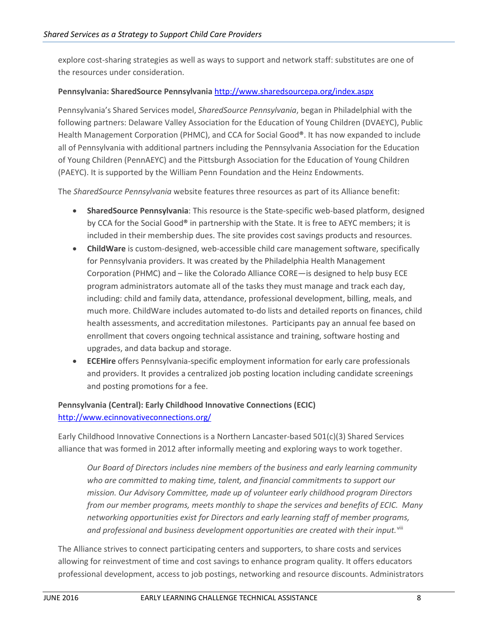explore cost-sharing strategies as well as ways to support and network staff: substitutes are one of the resources under consideration.

#### **Pennsylvania: SharedSource Pennsylvania** <http://www.sharedsourcepa.org/index.aspx>

Pennsylvania's Shared Services model, *SharedSource Pennsylvania*, began in Philadelphial with the following partners: Delaware Valley Association for the Education of Young Children (DVAEYC), Public Health Management Corporation (PHMC), and CCA for Social Good**®**. It has now expanded to include all of Pennsylvania with additional partners including the Pennsylvania Association for the Education of Young Children (PennAEYC) and the Pittsburgh Association for the Education of Young Children (PAEYC). It is supported by the William Penn Foundation and the Heinz Endowments.

The *SharedSource Pennsylvania* website features three resources as part of its Alliance benefit:

- **SharedSource Pennsylvania**: This resource is the State-specific web-based platform, designed by CCA for the Social Good**®** in partnership with the State. It is free to AEYC members; it is included in their membership dues. The site provides cost savings products and resources.
- **ChildWare** is custom-designed, web-accessible child care management software, specifically for Pennsylvania providers. It was created by the Philadelphia Health Management Corporation (PHMC) and – like the Colorado Alliance CORE—is designed to help busy ECE program administrators automate all of the tasks they must manage and track each day, including: child and family data, attendance, professional development, billing, meals, and much more. ChildWare includes automated to-do lists and detailed reports on finances, child health assessments, and accreditation milestones. Participants pay an annual fee based on enrollment that covers ongoing technical assistance and training, software hosting and upgrades, and data backup and storage.
- **ECEHire** offers Pennsylvania-specific employment information for early care professionals and providers. It provides a centralized job posting location including candidate screenings and posting promotions for a fee.

#### **Pennsylvania (Central): Early Childhood Innovative Connections (ECIC)** <http://www.ecinnovativeconnections.org/>

Early Childhood Innovative Connections is a Northern Lancaster-based 501(c)(3) Shared Services alliance that was formed in 2012 after informally meeting and exploring ways to work together.

*Our Board of Directors includes nine members of the business and early learning community who are committed to making time, talent, and financial commitments to support our mission. Our Advisory Committee, made up of volunteer early childhood program Directors from our member programs, meets monthly to shape the services and benefits of ECIC. Many networking opportunities exist for Directors and early learning staff of member programs, and professional and business development opportunities are created with their input.*[viii](#page-13-7)

The Alliance strives to connect participating centers and supporters, to share costs and services allowing for reinvestment of time and cost savings to enhance program quality. It offers educators professional development, access to job postings, networking and resource discounts. Administrators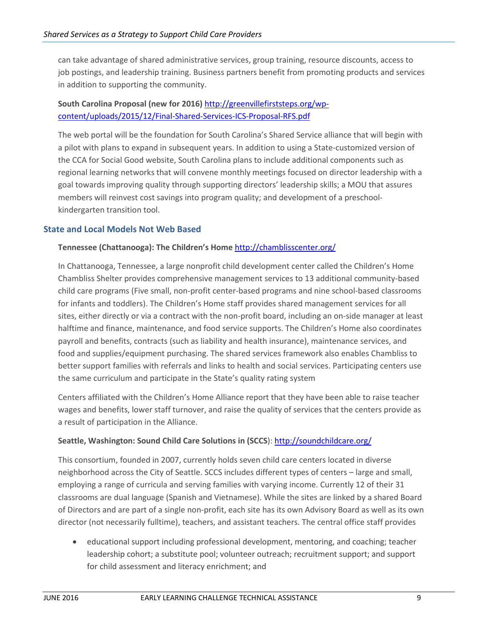can take advantage of shared administrative services, group training, resource discounts, access to job postings, and leadership training. Business partners benefit from promoting products and services in addition to supporting the community.

## **South Carolina Proposal (new for 2016)** [http://greenvillefirststeps.org/wp](http://greenvillefirststeps.org/wp-content/uploads/2015/12/Final-Shared-Services-ICS-Proposal-RFS.pdf)[content/uploads/2015/12/Final-Shared-Services-ICS-Proposal-RFS.pdf](http://greenvillefirststeps.org/wp-content/uploads/2015/12/Final-Shared-Services-ICS-Proposal-RFS.pdf)

The web portal will be the foundation for South Carolina's Shared Service alliance that will begin with a pilot with plans to expand in subsequent years. In addition to using a State-customized version of the CCA for Social Good website, South Carolina plans to include additional components such as regional learning networks that will convene monthly meetings focused on director leadership with a goal towards improving quality through supporting directors' leadership skills; a MOU that assures members will reinvest cost savings into program quality; and development of a preschoolkindergarten transition tool.

#### **State and Local Models Not Web Based**

#### **Tennessee (Chattanooga): The Children's Home** <http://chamblisscenter.org/>

In Chattanooga, Tennessee, a large nonprofit child development center called the Children's Home Chambliss Shelter provides comprehensive management services to 13 additional community-based child care programs (Five small, non-profit center-based programs and nine school-based classrooms for infants and toddlers). The Children's Home staff provides shared management services for all sites, either directly or via a contract with the non-profit board, including an on-side manager at least halftime and finance, maintenance, and food service supports. The Children's Home also coordinates payroll and benefits, contracts (such as liability and health insurance), maintenance services, and food and supplies/equipment purchasing. The shared services framework also enables Chambliss to better support families with referrals and links to health and social services. Participating centers use the same curriculum and participate in the State's quality rating system

Centers affiliated with the Children's Home Alliance report that they have been able to raise teacher wages and benefits, lower staff turnover, and raise the quality of services that the centers provide as a result of participation in the Alliance.

#### **Seattle, Washington: Sound Child Care Solutions in (SCCS**):<http://soundchildcare.org/>

This consortium, founded in 2007, currently holds seven child care centers located in diverse neighborhood across the City of Seattle. SCCS includes different types of centers – large and small, employing a range of curricula and serving families with varying income. Currently 12 of their 31 classrooms are dual language (Spanish and Vietnamese). While the sites are linked by a shared Board of Directors and are part of a single non-profit, each site has its own Advisory Board as well as its own director (not necessarily fulltime), teachers, and assistant teachers. The central office staff provides

• educational support including professional development, mentoring, and coaching; teacher leadership cohort; a substitute pool; volunteer outreach; recruitment support; and support for child assessment and literacy enrichment; and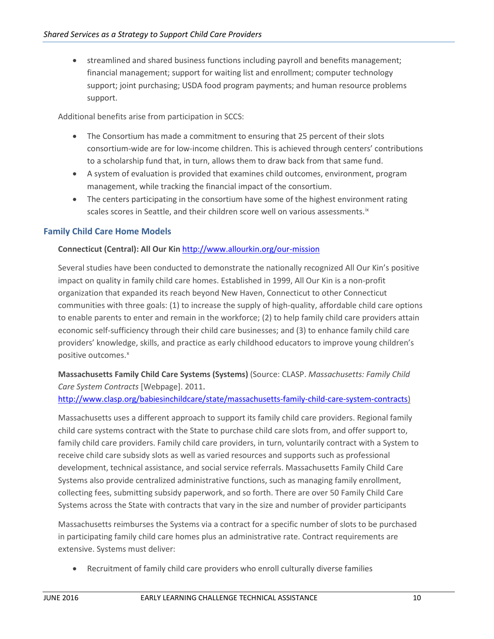• streamlined and shared business functions including payroll and benefits management; financial management; support for waiting list and enrollment; computer technology support; joint purchasing; USDA food program payments; and human resource problems support.

Additional benefits arise from participation in SCCS:

- The Consortium has made a commitment to ensuring that 25 percent of their slots consortium-wide are for low-income children. This is achieved through centers' contributions to a scholarship fund that, in turn, allows them to draw back from that same fund.
- A system of evaluation is provided that examines child outcomes, environment, program management, while tracking the financial impact of the consortium.
- The centers participating in the consortium have some of the highest environment rating scales scores in Seattle, and their children score well on various assessments.<sup>[ix](#page-13-8)</sup>

#### **Family Child Care Home Models**

#### **Connecticut (Central): All Our Kin** <http://www.allourkin.org/our-mission>

Several studies have been conducted to demonstrate the nationally recognized All Our Kin's positive impact on quality in family child care homes. Established in 1999, All Our Kin is a non-profit organization that expanded its reach beyond New Haven, Connecticut to other Connecticut communities with three goals: (1) to increase the supply of high-quality, affordable child care options to enable parents to enter and remain in the workforce; (2) to help family child care providers attain economic self-sufficiency through their child care businesses; and (3) to enhance family child care providers' knowledge, skills, and practice as early childhood educators to improve young children's positive outcomes. [x](#page-13-9)

**Massachusetts Family Child Care Systems (Systems)** (Source: CLASP. *Massachusetts: Family Child Care System Contracts* [Webpage]. 2011.

[http://www.clasp.org/babiesinchildcare/state/massachusetts-family-child-care-system-contracts\)](http://www.clasp.org/babiesinchildcare/state/massachusetts-family-child-care-system-contracts)

Massachusetts uses a different approach to support its family child care providers. Regional family child care systems contract with the State to purchase child care slots from, and offer support to, family child care providers. Family child care providers, in turn, voluntarily contract with a System to receive child care subsidy slots as well as varied resources and supports such as professional development, technical assistance, and social service referrals. Massachusetts Family Child Care Systems also provide centralized administrative functions, such as managing family enrollment, collecting fees, submitting subsidy paperwork, and so forth. There are over 50 Family Child Care Systems across the State with contracts that vary in the size and number of provider participants

Massachusetts reimburses the Systems via a contract for a specific number of slots to be purchased in participating family child care homes plus an administrative rate. Contract requirements are extensive. Systems must deliver:

• Recruitment of family child care providers who enroll culturally diverse families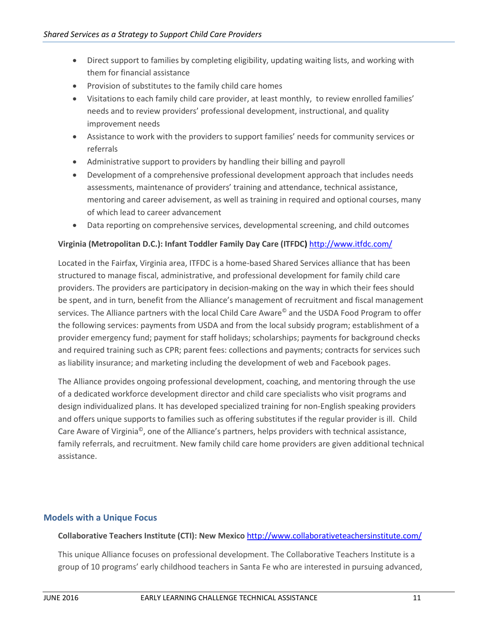- Direct support to families by completing eligibility, updating waiting lists, and working with them for financial assistance
- Provision of substitutes to the family child care homes
- Visitations to each family child care provider, at least monthly, to review enrolled families' needs and to review providers' professional development, instructional, and quality improvement needs
- Assistance to work with the providers to support families' needs for community services or referrals
- Administrative support to providers by handling their billing and payroll
- Development of a comprehensive professional development approach that includes needs assessments, maintenance of providers' training and attendance, technical assistance, mentoring and career advisement, as well as training in required and optional courses, many of which lead to career advancement
- Data reporting on comprehensive services, developmental screening, and child outcomes

#### **Virginia (Metropolitan D.C.): Infant Toddler Family Day Care (ITFDC)** <http://www.itfdc.com/>

Located in the Fairfax, Virginia area, ITFDC is a home-based Shared Services alliance that has been structured to manage fiscal, administrative, and professional development for family child care providers. The providers are participatory in decision-making on the way in which their fees should be spent, and in turn, benefit from the Alliance's management of recruitment and fiscal management services. The Alliance partners with the local Child Care Aware<sup>®</sup> and the USDA Food Program to offer the following services: payments from USDA and from the local subsidy program; establishment of a provider emergency fund; payment for staff holidays; scholarships; payments for background checks and required training such as CPR; parent fees: collections and payments; contracts for services such as liability insurance; and marketing including the development of web and Facebook pages.

The Alliance provides ongoing professional development, coaching, and mentoring through the use of a dedicated workforce development director and child care specialists who visit programs and design individualized plans. It has developed specialized training for non-English speaking providers and offers unique supports to families such as offering substitutes if the regular provider is ill. Child Care Aware of Virginia©, one of the Alliance's partners, helps providers with technical assistance, family referrals, and recruitment. New family child care home providers are given additional technical assistance.

#### **Models with a Unique Focus**

#### **Collaborative Teachers Institute (CTI): New Mexico** <http://www.collaborativeteachersinstitute.com/>

This unique Alliance focuses on professional development. The Collaborative Teachers Institute is a group of 10 programs' early childhood teachers in Santa Fe who are interested in pursuing advanced,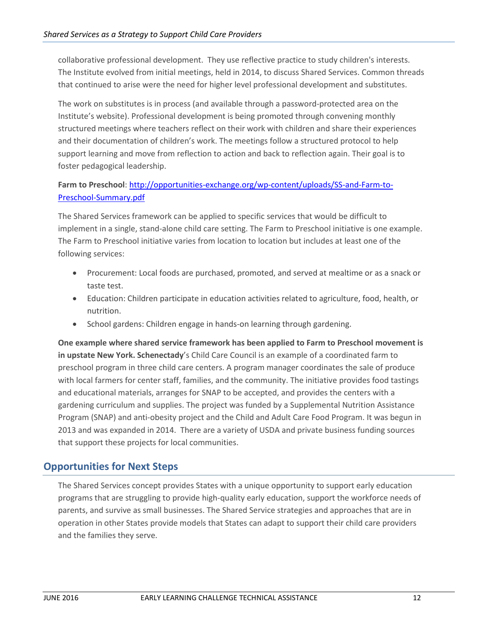collaborative professional development. They use reflective practice to study children's interests. The Institute evolved from initial meetings, held in 2014, to discuss Shared Services. Common threads that continued to arise were the need for higher level professional development and substitutes.

The work on substitutes is in process (and available through a password-protected area on the Institute's website). Professional development is being promoted through convening monthly structured meetings where teachers reflect on their work with children and share their experiences and their documentation of children's work. The meetings follow a structured protocol to help support learning and move from reflection to action and back to reflection again. Their goal is to foster pedagogical leadership.

# Farm to Preschool: [http://opportunities-exchange.org/wp-content/uploads/SS-and-Farm-to-](http://opportunities-exchange.org/wp-content/uploads/SS-and-Farm-to-Preschool-Summary.pdf)[Preschool-Summary.pdf](http://opportunities-exchange.org/wp-content/uploads/SS-and-Farm-to-Preschool-Summary.pdf)

The Shared Services framework can be applied to specific services that would be difficult to implement in a single, stand-alone child care setting. The Farm to Preschool initiative is one example. The Farm to Preschool initiative varies from location to location but includes at least one of the following services:

- Procurement: Local foods are purchased, promoted, and served at mealtime or as a snack or taste test.
- Education: Children participate in education activities related to agriculture, food, health, or nutrition.
- School gardens: Children engage in hands-on learning through gardening.

**One example where shared service framework has been applied to Farm to Preschool movement is in upstate New York. Schenectady**'s Child Care Council is an example of a coordinated farm to preschool program in three child care centers. A program manager coordinates the sale of produce with local farmers for center staff, families, and the community. The initiative provides food tastings and educational materials, arranges for SNAP to be accepted, and provides the centers with a gardening curriculum and supplies. The project was funded by a Supplemental Nutrition Assistance Program (SNAP) and anti-obesity project and the Child and Adult Care Food Program. It was begun in 2013 and was expanded in 2014. There are a variety of USDA and private business funding sources that support these projects for local communities.

# **Opportunities for Next Steps**

The Shared Services concept provides States with a unique opportunity to support early education programs that are struggling to provide high-quality early education, support the workforce needs of parents, and survive as small businesses. The Shared Service strategies and approaches that are in operation in other States provide models that States can adapt to support their child care providers and the families they serve.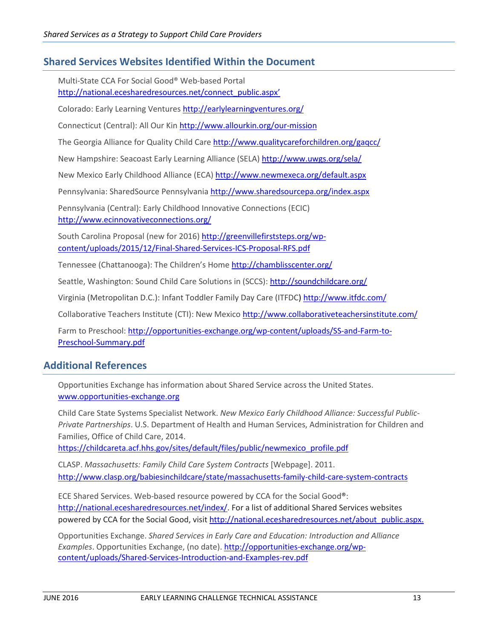# **Shared Services Websites Identified Within the Document**

Multi-State CCA For Social Good® Web-based Portal [http://national.ecesharedresources.net/connect\\_public.aspx'](http://national.ecesharedresources.net/connect_public.aspx)

Colorado: Early Learning Ventures <http://earlylearningventures.org/>

Connecticut (Central): All Our Kin <http://www.allourkin.org/our-mission>

The Georgia Alliance for Quality Child Care <http://www.qualitycareforchildren.org/gaqcc/>

New Hampshire: Seacoast Early Learning Alliance (SELA) <http://www.uwgs.org/sela/>

New Mexico Early Childhood Alliance (ECA) <http://www.newmexeca.org/default.aspx>

Pennsylvania: SharedSource Pennsylvania <http://www.sharedsourcepa.org/index.aspx>

Pennsylvania (Central): Early Childhood Innovative Connections (ECIC) <http://www.ecinnovativeconnections.org/>

South Carolina Proposal (new for 2016) [http://greenvillefirststeps.org/wp](http://greenvillefirststeps.org/wp-content/uploads/2015/12/Final-Shared-Services-ICS-Proposal-RFS.pdf)[content/uploads/2015/12/Final-Shared-Services-ICS-Proposal-RFS.pdf](http://greenvillefirststeps.org/wp-content/uploads/2015/12/Final-Shared-Services-ICS-Proposal-RFS.pdf)

Tennessee (Chattanooga): The Children's Home<http://chamblisscenter.org/>

Seattle, Washington: Sound Child Care Solutions in (SCCS)[: http://soundchildcare.org/](http://soundchildcare.org/)

Virginia (Metropolitan D.C.): Infant Toddler Family Day Care (ITFDC)<http://www.itfdc.com/>

Collaborative Teachers Institute (CTI): New Mexico <http://www.collaborativeteachersinstitute.com/>

Farm to Preschool[: http://opportunities-exchange.org/wp-content/uploads/SS-and-Farm-to-](http://opportunities-exchange.org/wp-content/uploads/SS-and-Farm-to-Preschool-Summary.pdf)[Preschool-Summary.pdf](http://opportunities-exchange.org/wp-content/uploads/SS-and-Farm-to-Preschool-Summary.pdf)

## **Additional References**

Opportunities Exchange has information about Shared Service across the United States. [www.opportunities-exchange.org](http://www.opportunities-exchange.org/)

Child Care State Systems Specialist Network. *New Mexico Early Childhood Alliance: Successful Public-Private Partnerships*. U.S. Department of Health and Human Services, Administration for Children and Families, Office of Child Care, 2014.

[https://childcareta.acf.hhs.gov/sites/default/files/public/newmexico\\_profile.pdf](https://childcareta.acf.hhs.gov/sites/default/files/public/newmexico_profile.pdf)

CLASP. *Massachusetts: Family Child Care System Contracts* [Webpage]. 2011. <http://www.clasp.org/babiesinchildcare/state/massachusetts-family-child-care-system-contracts>

ECE Shared Services. Web-based resource powered by CCA for the Social Good**®**: [http://national.ecesharedresources.net/index/.](http://national.ecesharedresources.net/index/) For a list of additional Shared Services websites powered by CCA for the Social Good, visit http://national.ecesharedresources.net/about\_public.aspx.

Opportunities Exchange. *Shared Services in Early Care and Education: Introduction and Alliance Examples*. Opportunities Exchange, (no date). [http://opportunities-exchange.org/wp](http://opportunities-exchange.org/wp-content/uploads/Shared-Services-Introduction-and-Examples-rev.pdf)[content/uploads/Shared-Services-Introduction-and-Examples-rev.pdf](http://opportunities-exchange.org/wp-content/uploads/Shared-Services-Introduction-and-Examples-rev.pdf)